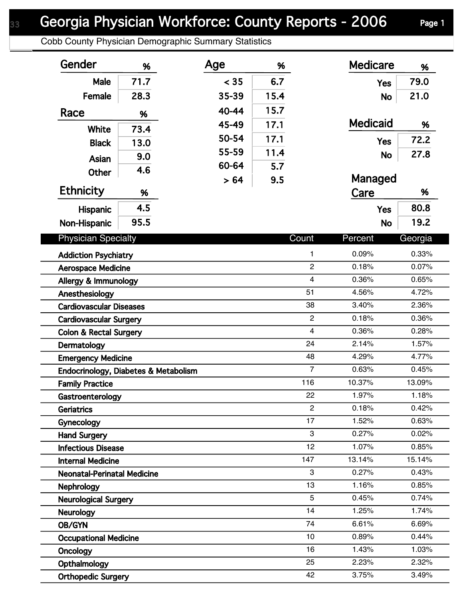Cobb County Physician Demographic Summary Statistics

| Gender                                 | %    | Age   | %    |                         | <b>Medicare</b> | %       |
|----------------------------------------|------|-------|------|-------------------------|-----------------|---------|
| Male                                   | 71.7 | < 35  | 6.7  |                         | <b>Yes</b>      | 79.0    |
| Female                                 | 28.3 | 35-39 | 15.4 |                         | <b>No</b>       | 21.0    |
| Race                                   | %    | 40-44 | 15.7 |                         |                 |         |
|                                        |      | 45-49 | 17.1 |                         | <b>Medicaid</b> | %       |
| White                                  | 73.4 | 50-54 | 17.1 |                         |                 | 72.2    |
| <b>Black</b>                           | 13.0 | 55-59 | 11.4 |                         | <b>Yes</b>      |         |
| Asian                                  | 9.0  | 60-64 | 5.7  |                         | <b>No</b>       | 27.8    |
| <b>Other</b>                           | 4.6  | > 64  | 9.5  |                         | Managed         |         |
| <b>Ethnicity</b>                       | %    |       |      |                         | Care            | %       |
| <b>Hispanic</b>                        | 4.5  |       |      |                         | <b>Yes</b>      | 80.8    |
| Non-Hispanic                           | 95.5 |       |      |                         | <b>No</b>       | 19.2    |
| <b>Physician Specialty</b>             |      |       |      | Count                   | Percent         | Georgia |
|                                        |      |       |      | 1                       | 0.09%           | 0.33%   |
| <b>Addiction Psychiatry</b>            |      |       |      | $\overline{2}$          | 0.18%           | 0.07%   |
| <b>Aerospace Medicine</b>              |      |       |      | $\overline{\mathbf{4}}$ | 0.36%           | 0.65%   |
| Allergy & Immunology<br>Anesthesiology |      |       |      | 51                      | 4.56%           | 4.72%   |
| <b>Cardiovascular Diseases</b>         |      |       |      | 38                      | 3.40%           | 2.36%   |
| <b>Cardiovascular Surgery</b>          |      |       |      | $\overline{2}$          | 0.18%           | 0.36%   |
| <b>Colon &amp; Rectal Surgery</b>      |      |       |      | $\overline{4}$          | 0.36%           | 0.28%   |
| Dermatology                            |      |       |      | 24                      | 2.14%           | 1.57%   |
| <b>Emergency Medicine</b>              |      |       |      | 48                      | 4.29%           | 4.77%   |
| Endocrinology, Diabetes & Metabolism   |      |       |      | $\overline{7}$          | 0.63%           | 0.45%   |
| <b>Family Practice</b>                 |      |       |      | 116                     | 10.37%          | 13.09%  |
| Gastroenterology                       |      |       |      | 22                      | 1.97%           | 1.18%   |
| <b>Geriatrics</b>                      |      |       |      | $\overline{2}$          | 0.18%           | 0.42%   |
| Gynecology                             |      |       |      | 17                      | 1.52%           | 0.63%   |
| <b>Hand Surgery</b>                    |      |       |      | 3                       | 0.27%           | 0.02%   |
| <b>Infectious Disease</b>              |      |       |      | 12                      | 1.07%           | 0.85%   |
| <b>Internal Medicine</b>               |      |       |      | 147                     | 13.14%          | 15.14%  |
| <b>Neonatal-Perinatal Medicine</b>     |      |       |      | 3                       | 0.27%           | 0.43%   |
| <b>Nephrology</b>                      |      |       |      | 13                      | 1.16%           | 0.85%   |
| <b>Neurological Surgery</b>            |      |       |      | 5                       | 0.45%           | 0.74%   |
| <b>Neurology</b>                       |      |       |      | 14                      | 1.25%           | 1.74%   |
| OB/GYN                                 |      |       |      | 74                      | 6.61%           | 6.69%   |
| <b>Occupational Medicine</b>           |      |       |      | 10                      | 0.89%           | 0.44%   |
| <b>Oncology</b>                        |      |       |      | 16                      | 1.43%           | 1.03%   |
| Opthalmology                           |      |       |      | 25                      | 2.23%           | 2.32%   |
| <b>Orthopedic Surgery</b>              |      |       |      | 42                      | 3.75%           | 3.49%   |